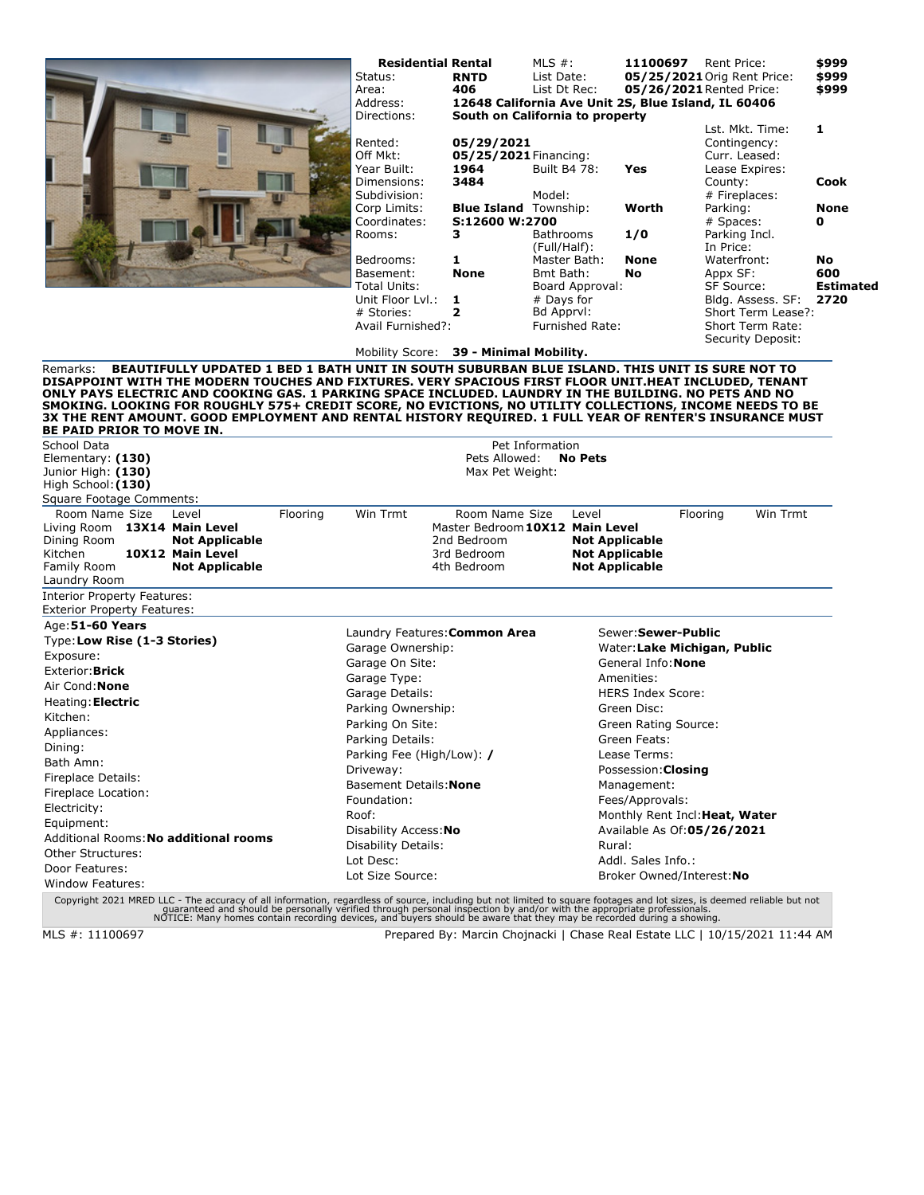|                                                                                                                                                                                                                                                                                                                                                                                                                                                                    | <b>Residential Rental</b><br>Status:<br>Area:<br>Address:<br>Directions: | <b>RNTD</b><br>406<br>South on California to property | MLS $#$ :<br>List Date:<br>List Dt Rec: | 11100697                                       | Rent Price:<br>05/25/2021 Orig Rent Price:<br>05/26/2021 Rented Price:<br>12648 California Ave Unit 2S, Blue Island, IL 60406<br>Lst. Mkt. Time: | \$999<br>\$999<br>\$999<br>1 |
|--------------------------------------------------------------------------------------------------------------------------------------------------------------------------------------------------------------------------------------------------------------------------------------------------------------------------------------------------------------------------------------------------------------------------------------------------------------------|--------------------------------------------------------------------------|-------------------------------------------------------|-----------------------------------------|------------------------------------------------|--------------------------------------------------------------------------------------------------------------------------------------------------|------------------------------|
|                                                                                                                                                                                                                                                                                                                                                                                                                                                                    | Rented:<br>Off Mkt:<br>Year Built:                                       | 05/29/2021<br>05/25/2021 Financing:<br>1964           | Built B4 78:                            | Yes                                            | Contingency:<br>Curr. Leased:<br>Lease Expires:                                                                                                  |                              |
|                                                                                                                                                                                                                                                                                                                                                                                                                                                                    | Dimensions:<br>Subdivision:                                              | 3484                                                  | Model:                                  |                                                | County:<br># Fireplaces:                                                                                                                         | <b>Cook</b>                  |
|                                                                                                                                                                                                                                                                                                                                                                                                                                                                    | Corp Limits:                                                             | <b>Blue Island</b> Township:                          |                                         | Worth                                          | Parking:                                                                                                                                         | <b>None</b>                  |
|                                                                                                                                                                                                                                                                                                                                                                                                                                                                    | Coordinates:<br>Rooms:                                                   | S:12600 W:2700<br>3                                   | Bathrooms                               | 1/0                                            | # Spaces:<br>Parking Incl.                                                                                                                       | $\mathbf{o}$                 |
|                                                                                                                                                                                                                                                                                                                                                                                                                                                                    |                                                                          |                                                       | (Full/Half):                            |                                                | In Price:                                                                                                                                        |                              |
|                                                                                                                                                                                                                                                                                                                                                                                                                                                                    | Bedrooms:                                                                | 1                                                     | Master Bath:                            | <b>None</b>                                    | Waterfront:                                                                                                                                      | <b>No</b>                    |
|                                                                                                                                                                                                                                                                                                                                                                                                                                                                    | Basement:                                                                | <b>None</b>                                           | Bmt Bath:                               | No                                             | Appx SF:                                                                                                                                         | 600                          |
|                                                                                                                                                                                                                                                                                                                                                                                                                                                                    | Total Units:<br>Unit Floor Lvl.:                                         | 1                                                     | Board Approval:<br># Days for           |                                                | SF Source:<br>Bldg. Assess. SF:                                                                                                                  | <b>Estimated</b><br>2720     |
|                                                                                                                                                                                                                                                                                                                                                                                                                                                                    | # Stories:                                                               | $\overline{2}$                                        | Bd Apprvl:                              |                                                | Short Term Lease?:                                                                                                                               |                              |
|                                                                                                                                                                                                                                                                                                                                                                                                                                                                    | Avail Furnished?:                                                        |                                                       | <b>Furnished Rate:</b>                  |                                                | Short Term Rate:                                                                                                                                 |                              |
|                                                                                                                                                                                                                                                                                                                                                                                                                                                                    |                                                                          |                                                       |                                         |                                                | Security Deposit:                                                                                                                                |                              |
| BEAUTIFULLY UPDATED 1 BED 1 BATH UNIT IN SOUTH SUBURBAN BLUE ISLAND. THIS UNIT IS SURE NOT TO<br>Remarks:                                                                                                                                                                                                                                                                                                                                                          | Mobility Score: 39 - Minimal Mobility.                                   |                                                       |                                         |                                                |                                                                                                                                                  |                              |
| DISAPPOINT WITH THE MODERN TOUCHES AND FIXTURES. VERY SPACIOUS FIRST FLOOR UNIT.HEAT INCLUDED, TENANT<br>ONLY PAYS ELECTRIC AND COOKING GAS. 1 PARKING SPACE INCLUDED. LAUNDRY IN THE BUILDING. NO PETS AND NO<br>SMOKING. LOOKING FOR ROUGHLY 575+ CREDIT SCORE, NO EVICTIONS, NO UTILITY COLLECTIONS, INCOME NEEDS TO BE<br>3X THE RENT AMOUNT. GOOD EMPLOYMENT AND RENTAL HISTORY REQUIRED. 1 FULL YEAR OF RENTER'S INSURANCE MUST<br>BE PAID PRIOR TO MOVE IN. |                                                                          |                                                       |                                         |                                                |                                                                                                                                                  |                              |
| School Data                                                                                                                                                                                                                                                                                                                                                                                                                                                        |                                                                          |                                                       | Pet Information                         |                                                |                                                                                                                                                  |                              |
| Elementary: (130)                                                                                                                                                                                                                                                                                                                                                                                                                                                  |                                                                          | Pets Allowed:                                         | <b>No Pets</b>                          |                                                |                                                                                                                                                  |                              |
| Junior High: (130)                                                                                                                                                                                                                                                                                                                                                                                                                                                 |                                                                          | Max Pet Weight:                                       |                                         |                                                |                                                                                                                                                  |                              |
| High School: (130)<br>Square Footage Comments:                                                                                                                                                                                                                                                                                                                                                                                                                     |                                                                          |                                                       |                                         |                                                |                                                                                                                                                  |                              |
| Room Name Size<br>Flooring<br>Level                                                                                                                                                                                                                                                                                                                                                                                                                                | Win Trmt                                                                 | Room Name Size                                        | Level                                   |                                                | Win Trmt<br>Flooring                                                                                                                             |                              |
| Living Room<br>13X14 Main Level                                                                                                                                                                                                                                                                                                                                                                                                                                    |                                                                          | Master Bedroom 10X12 Main Level                       |                                         |                                                |                                                                                                                                                  |                              |
| Dining Room<br><b>Not Applicable</b>                                                                                                                                                                                                                                                                                                                                                                                                                               |                                                                          | 2nd Bedroom                                           |                                         | <b>Not Applicable</b>                          |                                                                                                                                                  |                              |
| Kitchen<br>10X12 Main Level<br>Family Room<br><b>Not Applicable</b>                                                                                                                                                                                                                                                                                                                                                                                                |                                                                          | 3rd Bedroom<br>4th Bedroom                            |                                         | <b>Not Applicable</b><br><b>Not Applicable</b> |                                                                                                                                                  |                              |
| Laundry Room                                                                                                                                                                                                                                                                                                                                                                                                                                                       |                                                                          |                                                       |                                         |                                                |                                                                                                                                                  |                              |
| Interior Property Features:<br><b>Exterior Property Features:</b>                                                                                                                                                                                                                                                                                                                                                                                                  |                                                                          |                                                       |                                         |                                                |                                                                                                                                                  |                              |
| Age: 51-60 Years                                                                                                                                                                                                                                                                                                                                                                                                                                                   |                                                                          |                                                       |                                         |                                                |                                                                                                                                                  |                              |
| Type: Low Rise (1-3 Stories)                                                                                                                                                                                                                                                                                                                                                                                                                                       | Laundry Features: Common Area                                            |                                                       |                                         | Sewer: Sewer-Public                            |                                                                                                                                                  |                              |
| Exposure:                                                                                                                                                                                                                                                                                                                                                                                                                                                          | Garage Ownership:<br>Garage On Site:                                     |                                                       |                                         | General Info: None                             | Water: Lake Michigan, Public                                                                                                                     |                              |
| Exterior: Brick                                                                                                                                                                                                                                                                                                                                                                                                                                                    | Garage Type:                                                             |                                                       |                                         | Amenities:                                     |                                                                                                                                                  |                              |
| Air Cond: <b>None</b>                                                                                                                                                                                                                                                                                                                                                                                                                                              | Garage Details:                                                          |                                                       |                                         | <b>HERS Index Score:</b>                       |                                                                                                                                                  |                              |
| Heating: Electric                                                                                                                                                                                                                                                                                                                                                                                                                                                  | Parking Ownership:                                                       |                                                       |                                         | Green Disc:                                    |                                                                                                                                                  |                              |
| Kitchen:                                                                                                                                                                                                                                                                                                                                                                                                                                                           | Parking On Site:                                                         |                                                       |                                         | Green Rating Source:                           |                                                                                                                                                  |                              |
| Appliances:                                                                                                                                                                                                                                                                                                                                                                                                                                                        | Parking Details:                                                         |                                                       |                                         | Green Feats:                                   |                                                                                                                                                  |                              |
| Dining:                                                                                                                                                                                                                                                                                                                                                                                                                                                            | Parking Fee (High/Low): /                                                |                                                       |                                         | Lease Terms:                                   |                                                                                                                                                  |                              |
| Bath Amn:                                                                                                                                                                                                                                                                                                                                                                                                                                                          | Driveway:                                                                |                                                       |                                         | Possession: Closing                            |                                                                                                                                                  |                              |
| Fireplace Details:                                                                                                                                                                                                                                                                                                                                                                                                                                                 | Basement Details: None                                                   |                                                       |                                         | Management:                                    |                                                                                                                                                  |                              |
| Fireplace Location:                                                                                                                                                                                                                                                                                                                                                                                                                                                | Foundation:                                                              |                                                       |                                         | Fees/Approvals:                                |                                                                                                                                                  |                              |
| Electricity:                                                                                                                                                                                                                                                                                                                                                                                                                                                       | Roof:                                                                    |                                                       |                                         |                                                | Monthly Rent Incl: Heat, Water                                                                                                                   |                              |
| Equipment:                                                                                                                                                                                                                                                                                                                                                                                                                                                         | Disability Access: No                                                    |                                                       |                                         | Available As Of:05/26/2021                     |                                                                                                                                                  |                              |
| Additional Rooms: No additional rooms                                                                                                                                                                                                                                                                                                                                                                                                                              | Disability Details:                                                      |                                                       |                                         | Rural:                                         |                                                                                                                                                  |                              |
| Other Structures:                                                                                                                                                                                                                                                                                                                                                                                                                                                  | Lot Desc:                                                                |                                                       |                                         | Addl. Sales Info.:                             |                                                                                                                                                  |                              |
| Door Features:                                                                                                                                                                                                                                                                                                                                                                                                                                                     |                                                                          |                                                       |                                         |                                                |                                                                                                                                                  |                              |
| Window Features:                                                                                                                                                                                                                                                                                                                                                                                                                                                   | Lot Size Source:                                                         |                                                       |                                         | Broker Owned/Interest: No                      |                                                                                                                                                  |                              |

guaranteed and should be personally verified through personal inspection by and/or with the appropriate professionals.<br>NOTICE: Many homes contain recording devices, and buyers should be aware that they may be recorded duri

MLS #: 11100697 Prepared By: Marcin Chojnacki | Chase Real Estate LLC | 10/15/2021 11:44 AM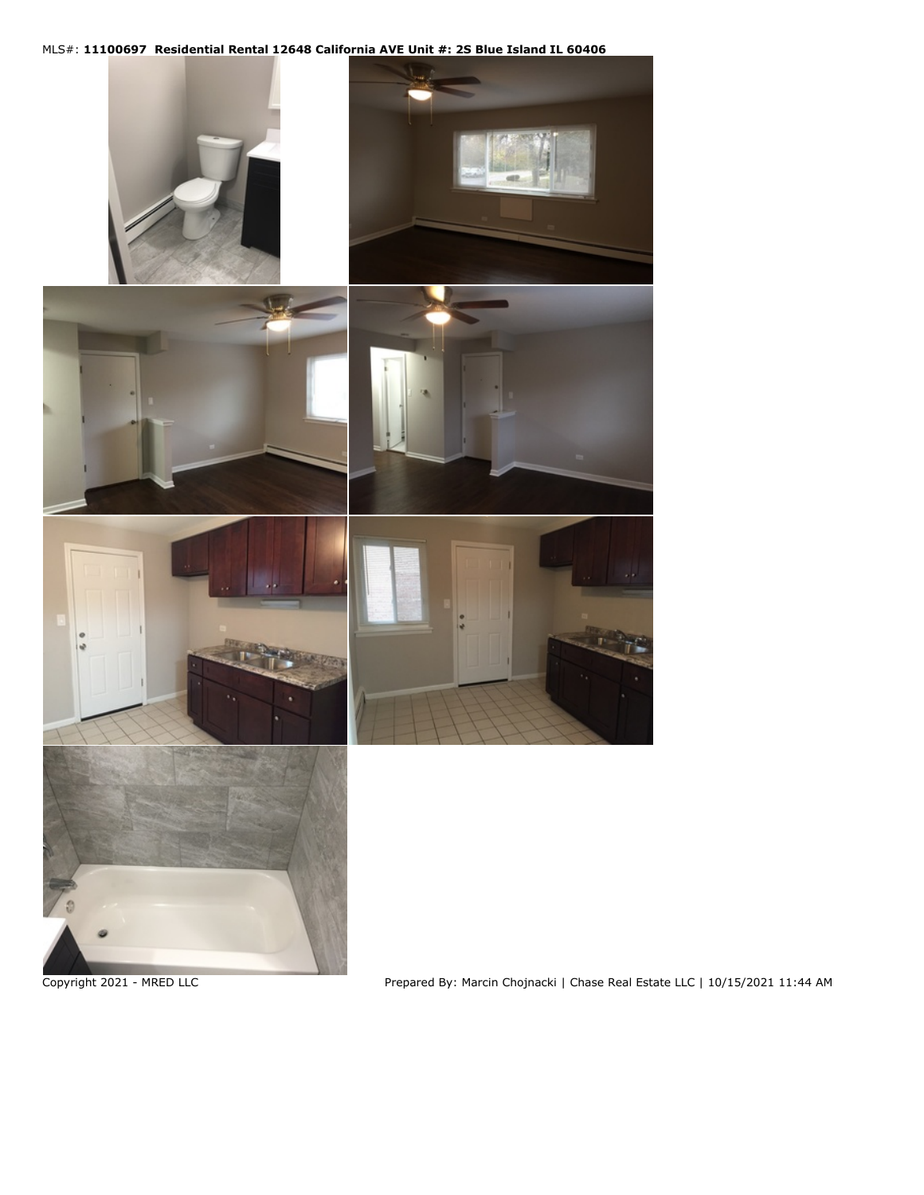## MLS#: **11100697 Residential Rental 12648 California AVE Unit #: 2S Blue Island IL 60406**



Copyright 2021 - MRED LLC Prepared By: Marcin Chojnacki | Chase Real Estate LLC | 10/15/2021 11:44 AM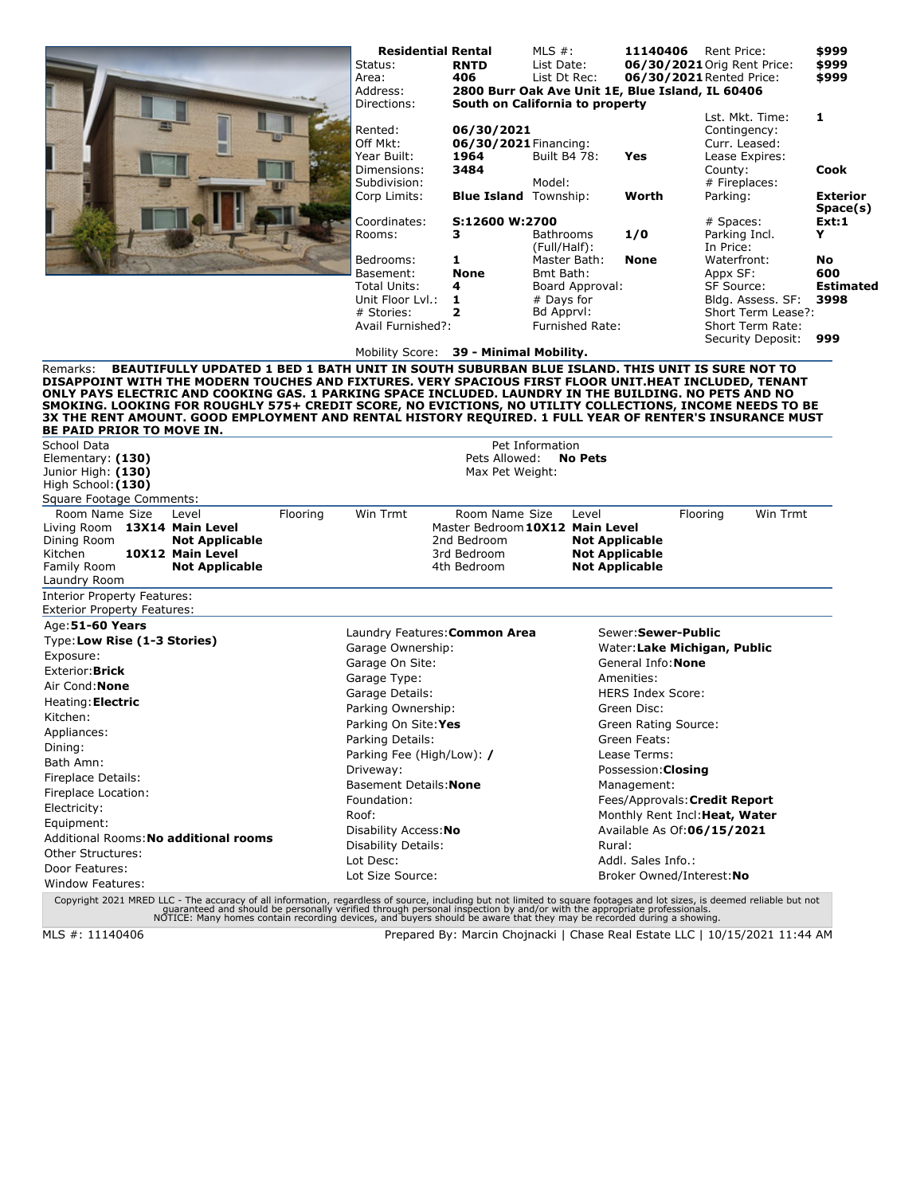|                                                                                                                                                                                                                                                                                                                                                                                                                                                                           | <b>Residential Rental</b><br>Status:<br>Area:<br>Address:<br>Directions: | <b>RNTD</b><br>406                          | MLS $#$ :<br>List Date:<br>List Dt Rec:<br>2800 Burr Oak Ave Unit 1E, Blue Island, IL 60406<br>South on California to property | 11140406                       | Rent Price:<br>06/30/2021 Orig Rent Price:<br>06/30/2021 Rented Price: | \$999<br>\$999<br>\$999     |
|---------------------------------------------------------------------------------------------------------------------------------------------------------------------------------------------------------------------------------------------------------------------------------------------------------------------------------------------------------------------------------------------------------------------------------------------------------------------------|--------------------------------------------------------------------------|---------------------------------------------|--------------------------------------------------------------------------------------------------------------------------------|--------------------------------|------------------------------------------------------------------------|-----------------------------|
|                                                                                                                                                                                                                                                                                                                                                                                                                                                                           | Rented:<br>Off Mkt:<br>Year Built:                                       | 06/30/2021<br>06/30/2021 Financing:<br>1964 | Built B4 78:                                                                                                                   | Yes                            | Lst. Mkt. Time:<br>Contingency:<br>Curr. Leased:<br>Lease Expires:     | 1                           |
|                                                                                                                                                                                                                                                                                                                                                                                                                                                                           | Dimensions:<br>Subdivision:                                              | 3484                                        | Model:                                                                                                                         |                                | County:<br># Fireplaces:                                               | Cook                        |
|                                                                                                                                                                                                                                                                                                                                                                                                                                                                           | Corp Limits:                                                             | <b>Blue Island</b> Township:                |                                                                                                                                | Worth                          | Parking:                                                               | <b>Exterior</b><br>Space(s) |
|                                                                                                                                                                                                                                                                                                                                                                                                                                                                           | Coordinates:<br>Rooms:                                                   | S:12600 W:2700<br>3                         | Bathrooms<br>(Full/Half):                                                                                                      | 1/0                            | # Spaces:<br>Parking Incl.<br>In Price:                                | Ext:1<br>Y                  |
|                                                                                                                                                                                                                                                                                                                                                                                                                                                                           | Bedrooms:<br>Basement:                                                   | 1<br><b>None</b>                            | Master Bath:<br>Bmt Bath:                                                                                                      | None                           | Waterfront:<br>Appx SF:                                                | No<br>600                   |
|                                                                                                                                                                                                                                                                                                                                                                                                                                                                           | Total Units:                                                             | 4                                           | Board Approval:                                                                                                                |                                | <b>SF Source:</b>                                                      | <b>Estimated</b>            |
|                                                                                                                                                                                                                                                                                                                                                                                                                                                                           | Unit Floor Lyl.:                                                         | 1                                           | # Days for                                                                                                                     |                                | Bldg. Assess. SF:                                                      | 3998                        |
|                                                                                                                                                                                                                                                                                                                                                                                                                                                                           | # Stories:                                                               | $\overline{2}$                              | Bd Apprvl:                                                                                                                     |                                | Short Term Lease?:                                                     |                             |
|                                                                                                                                                                                                                                                                                                                                                                                                                                                                           | Avail Furnished?:                                                        |                                             | <b>Furnished Rate:</b>                                                                                                         |                                | Short Term Rate:                                                       |                             |
|                                                                                                                                                                                                                                                                                                                                                                                                                                                                           | Mobility Score: 39 - Minimal Mobility.                                   |                                             |                                                                                                                                |                                | Security Deposit:                                                      | 999                         |
| DISAPPOINT WITH THE MODERN TOUCHES AND FIXTURES. VERY SPACIOUS FIRST FLOOR UNIT.HEAT INCLUDED, TENANT<br>ONLY PAYS ELECTRIC AND COOKING GAS. 1 PARKING SPACE INCLUDED. LAUNDRY IN THE BUILDING. NO PETS AND NO<br>SMOKING. LOOKING FOR ROUGHLY 575+ CREDIT SCORE, NO EVICTIONS, NO UTILITY COLLECTIONS, INCOME NEEDS TO BE<br>3X THE RENT AMOUNT. GOOD EMPLOYMENT AND RENTAL HISTORY REQUIRED. 1 FULL YEAR OF RENTER'S INSURANCE MUST<br><b>BE PAID PRIOR TO MOVE IN.</b> |                                                                          |                                             |                                                                                                                                |                                |                                                                        |                             |
| School Data                                                                                                                                                                                                                                                                                                                                                                                                                                                               |                                                                          |                                             | Pet Information                                                                                                                |                                |                                                                        |                             |
| Elementary: (130)<br>Junior High: (130)<br>High School: (130)<br>Square Footage Comments:                                                                                                                                                                                                                                                                                                                                                                                 |                                                                          | Pets Allowed:<br>Max Pet Weight:            | <b>No Pets</b>                                                                                                                 |                                |                                                                        |                             |
| Room Name Size<br>Flooring<br>Level                                                                                                                                                                                                                                                                                                                                                                                                                                       | Win Trmt                                                                 | Room Name Size                              | Level                                                                                                                          |                                | Win Trmt<br>Flooring                                                   |                             |
| Living Room 13X14 Main Level                                                                                                                                                                                                                                                                                                                                                                                                                                              |                                                                          |                                             | Master Bedroom 10X12 Main Level                                                                                                |                                |                                                                        |                             |
| Dining Room<br><b>Not Applicable</b>                                                                                                                                                                                                                                                                                                                                                                                                                                      |                                                                          | 2nd Bedroom                                 |                                                                                                                                | <b>Not Applicable</b>          |                                                                        |                             |
| 10X12 Main Level<br>Kitchen                                                                                                                                                                                                                                                                                                                                                                                                                                               |                                                                          | 3rd Bedroom                                 | <b>Not Applicable</b>                                                                                                          |                                |                                                                        |                             |
| Family Room<br><b>Not Applicable</b>                                                                                                                                                                                                                                                                                                                                                                                                                                      |                                                                          | 4th Bedroom                                 | <b>Not Applicable</b>                                                                                                          |                                |                                                                        |                             |
| Laundry Room<br>Interior Property Features:<br><b>Exterior Property Features:</b>                                                                                                                                                                                                                                                                                                                                                                                         |                                                                          |                                             |                                                                                                                                |                                |                                                                        |                             |
| Age: 51-60 Years                                                                                                                                                                                                                                                                                                                                                                                                                                                          | Laundry Features: Common Area                                            |                                             |                                                                                                                                | Sewer: Sewer-Public            |                                                                        |                             |
| Type: Low Rise (1-3 Stories)                                                                                                                                                                                                                                                                                                                                                                                                                                              | Garage Ownership:                                                        |                                             |                                                                                                                                | Water: Lake Michigan, Public   |                                                                        |                             |
| Exposure:                                                                                                                                                                                                                                                                                                                                                                                                                                                                 | Garage On Site:                                                          |                                             |                                                                                                                                | General Info: None             |                                                                        |                             |
| Exterior: Brick                                                                                                                                                                                                                                                                                                                                                                                                                                                           | Garage Type:                                                             |                                             |                                                                                                                                | Amenities:                     |                                                                        |                             |
| Air Cond: <b>None</b>                                                                                                                                                                                                                                                                                                                                                                                                                                                     | Garage Details:                                                          |                                             |                                                                                                                                | <b>HERS Index Score:</b>       |                                                                        |                             |
| Heating: Electric                                                                                                                                                                                                                                                                                                                                                                                                                                                         | Parking Ownership:                                                       |                                             |                                                                                                                                | Green Disc:                    |                                                                        |                             |
| Kitchen:                                                                                                                                                                                                                                                                                                                                                                                                                                                                  | Parking On Site: Yes                                                     |                                             |                                                                                                                                | Green Rating Source:           |                                                                        |                             |
| Appliances:                                                                                                                                                                                                                                                                                                                                                                                                                                                               | Parking Details:                                                         |                                             |                                                                                                                                | Green Feats:                   |                                                                        |                             |
| Dining:                                                                                                                                                                                                                                                                                                                                                                                                                                                                   | Parking Fee (High/Low): /                                                |                                             |                                                                                                                                | Lease Terms:                   |                                                                        |                             |
| Bath Amn:                                                                                                                                                                                                                                                                                                                                                                                                                                                                 | Driveway:                                                                |                                             |                                                                                                                                | Possession: Closing            |                                                                        |                             |
| Fireplace Details:                                                                                                                                                                                                                                                                                                                                                                                                                                                        | Basement Details: None                                                   |                                             |                                                                                                                                | Management:                    |                                                                        |                             |
| Fireplace Location:                                                                                                                                                                                                                                                                                                                                                                                                                                                       | Foundation:                                                              |                                             |                                                                                                                                | Fees/Approvals: Credit Report  |                                                                        |                             |
| Electricity:                                                                                                                                                                                                                                                                                                                                                                                                                                                              | Roof:                                                                    |                                             |                                                                                                                                | Monthly Rent Incl: Heat, Water |                                                                        |                             |
| Equipment:<br>Additional Rooms: <b>No additional rooms</b>                                                                                                                                                                                                                                                                                                                                                                                                                | Disability Access: No                                                    |                                             |                                                                                                                                | Available As Of:06/15/2021     |                                                                        |                             |
| Other Structures:                                                                                                                                                                                                                                                                                                                                                                                                                                                         | Disability Details:                                                      |                                             | Rural:                                                                                                                         |                                |                                                                        |                             |
| Door Features:                                                                                                                                                                                                                                                                                                                                                                                                                                                            | Lot Desc:                                                                |                                             |                                                                                                                                | Addl. Sales Info.:             |                                                                        |                             |
| Window Features:                                                                                                                                                                                                                                                                                                                                                                                                                                                          | Lot Size Source:                                                         |                                             |                                                                                                                                | Broker Owned/Interest: No      |                                                                        |                             |
| Copyright 2021 MRED LLC - The accuracy of all information, regardless of source, including but not limited to square footages and lot sizes, is deemed reliable but not<br>quaranteed and should be personally verified through p                                                                                                                                                                                                                                         |                                                                          |                                             |                                                                                                                                |                                |                                                                        |                             |

MLS #: 11140406 Prepared By: Marcin Chojnacki | Chase Real Estate LLC | 10/15/2021 11:44 AM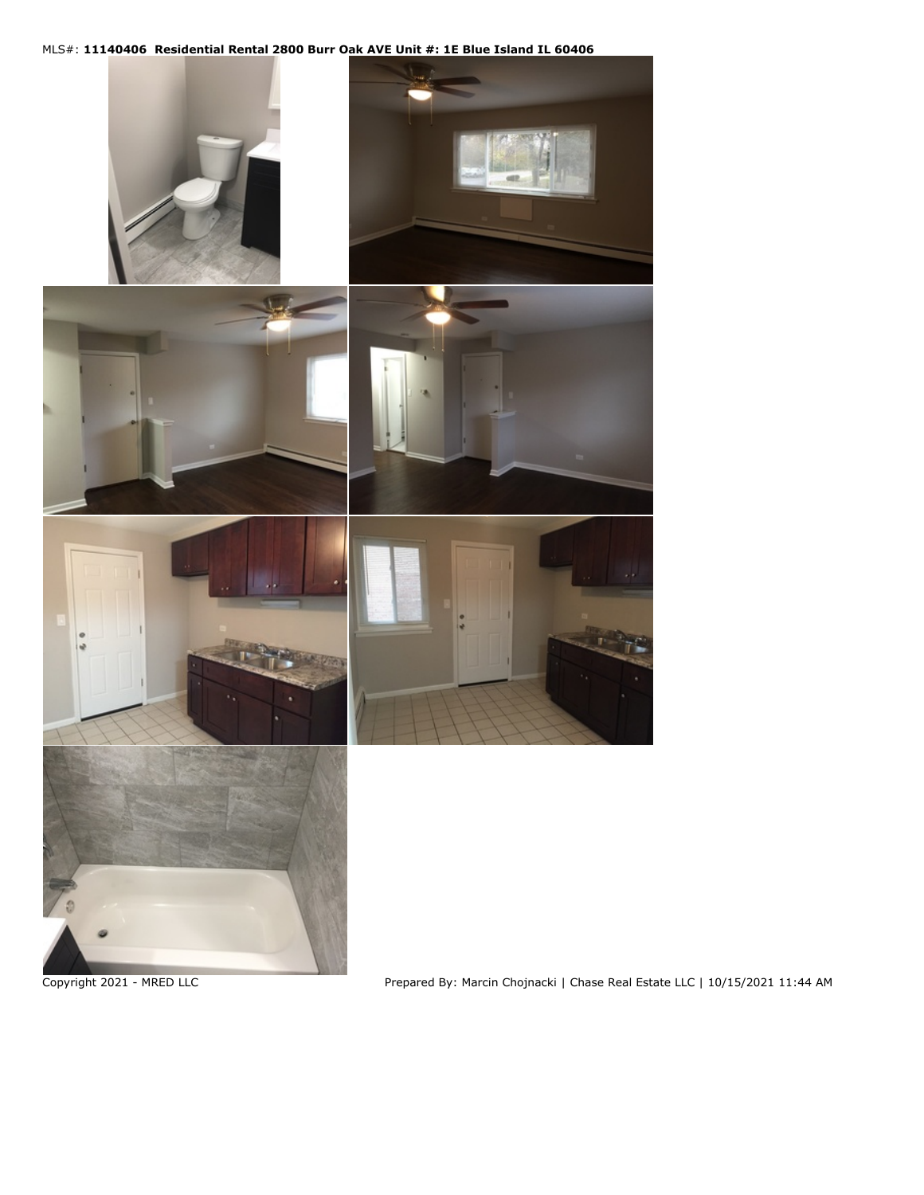## MLS#: **11140406 Residential Rental 2800 Burr Oak AVE Unit #: 1E Blue Island IL 60406**

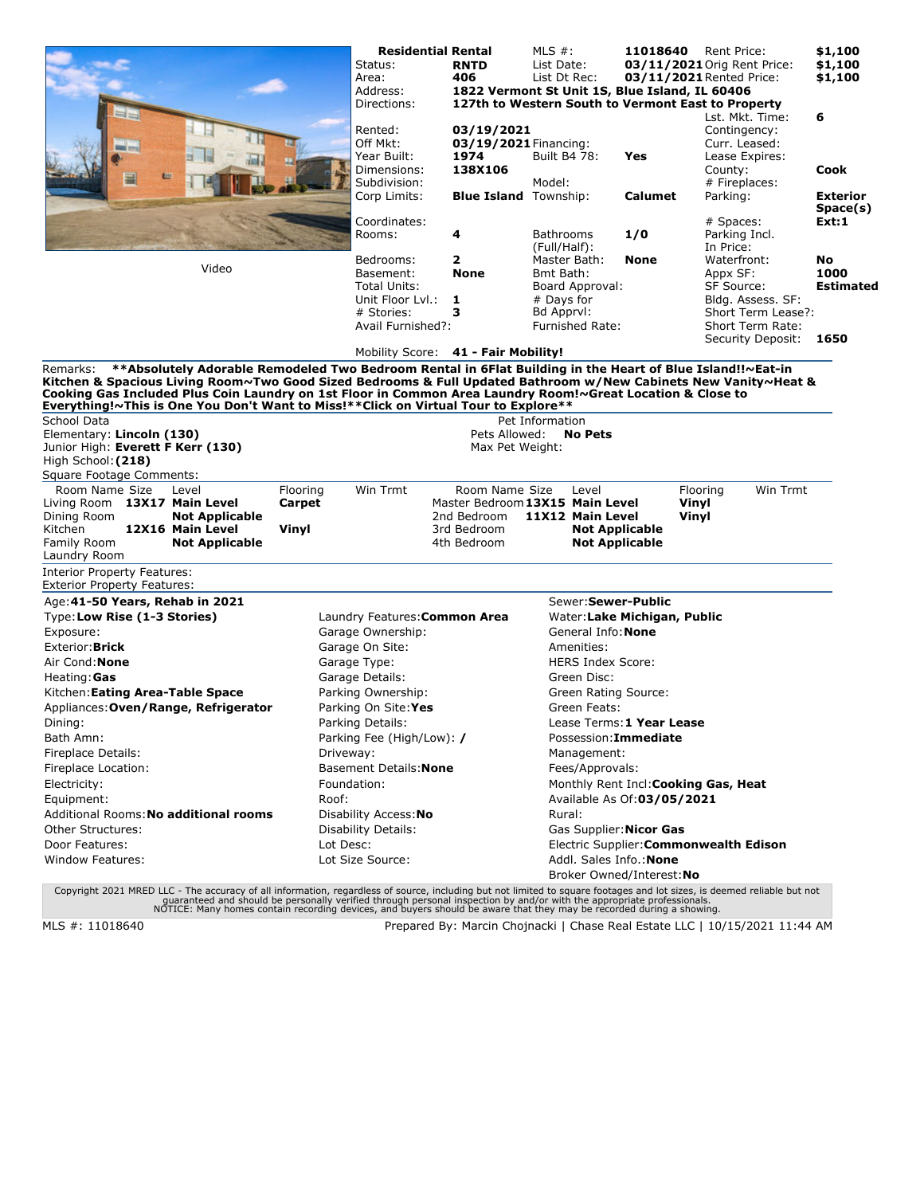|                                                                                                                                                                                                                                                                                                                                                                                                                                               | <b>Residential Rental</b><br>Status:<br>Area:<br>Address:<br>Directions:<br>Rented:<br>Off Mkt:<br>Year Built:                                                                                                                                                                      | <b>RNTD</b><br>406<br>03/19/2021<br>03/19/2021 Financing:<br>1974 | MLS $#$ :<br>List Date:<br>List Dt Rec:<br>1822 Vermont St Unit 1S, Blue Island, IL 60406<br>127th to Western South to Vermont East to Property<br>Built B4 78:                                                     | 11018640<br>Yes                                                                                 | Rent Price:<br>03/11/2021 Orig Rent Price:<br>03/11/2021 Rented Price:<br>Lst. Mkt. Time:<br>Contingency:<br>Curr. Leased:<br>Lease Expires: | \$1,100<br>\$1,100<br>\$1,100<br>6 |
|-----------------------------------------------------------------------------------------------------------------------------------------------------------------------------------------------------------------------------------------------------------------------------------------------------------------------------------------------------------------------------------------------------------------------------------------------|-------------------------------------------------------------------------------------------------------------------------------------------------------------------------------------------------------------------------------------------------------------------------------------|-------------------------------------------------------------------|---------------------------------------------------------------------------------------------------------------------------------------------------------------------------------------------------------------------|-------------------------------------------------------------------------------------------------|----------------------------------------------------------------------------------------------------------------------------------------------|------------------------------------|
|                                                                                                                                                                                                                                                                                                                                                                                                                                               | Dimensions:<br>Subdivision:                                                                                                                                                                                                                                                         | 138X106                                                           | Model:                                                                                                                                                                                                              |                                                                                                 | County:<br># Fireplaces:                                                                                                                     | <b>Cook</b>                        |
|                                                                                                                                                                                                                                                                                                                                                                                                                                               | Corp Limits:                                                                                                                                                                                                                                                                        | <b>Blue Island</b> Township:                                      |                                                                                                                                                                                                                     | Calumet                                                                                         | Parking:                                                                                                                                     | <b>Exterior</b><br>Space(s)        |
|                                                                                                                                                                                                                                                                                                                                                                                                                                               | Coordinates:<br>Rooms:                                                                                                                                                                                                                                                              | 4                                                                 | <b>Bathrooms</b><br>(Full/Half):                                                                                                                                                                                    | 1/0                                                                                             | # Spaces:<br>Parking Incl.<br>In Price:                                                                                                      | Ext:1                              |
| Video                                                                                                                                                                                                                                                                                                                                                                                                                                         | Bedrooms:<br>Basement:<br><b>Total Units:</b><br>Unit Floor Lyl.:<br># Stories:<br>Avail Furnished?:                                                                                                                                                                                | 2<br><b>None</b><br>1<br>з                                        | Master Bath:<br>Bmt Bath:<br>Board Approval:<br># Days for<br>Bd Apprvl:<br><b>Furnished Rate:</b>                                                                                                                  | None                                                                                            | Waterfront:<br>Appx SF:<br>SF Source:<br>Bldg. Assess. SF:<br>Short Term Lease?:<br>Short Term Rate:                                         | No<br>1000<br><b>Estimated</b>     |
|                                                                                                                                                                                                                                                                                                                                                                                                                                               | Mobility Score: 41 - Fair Mobility!                                                                                                                                                                                                                                                 |                                                                   |                                                                                                                                                                                                                     |                                                                                                 | Security Deposit:                                                                                                                            | 1650                               |
| **Absolutely Adorable Remodeled Two Bedroom Rental in 6Flat Building in the Heart of Blue Island!!~Eat-in<br>Remarks:<br>Kitchen & Spacious Living Room~Two Good Sized Bedrooms & Full Updated Bathroom w/New Cabinets New Vanity~Heat &<br>Cooking Gas Included Plus Coin Laundry on 1st Floor in Common Area Laundry Room!~Great Location & Close to<br>Everything!~This is One You Don't Want to Miss!**Click on Virtual Tour to Explore** |                                                                                                                                                                                                                                                                                     |                                                                   |                                                                                                                                                                                                                     |                                                                                                 |                                                                                                                                              |                                    |
| School Data<br>Elementary: Lincoln (130)<br>Junior High: Everett F Kerr (130)<br>High School: (218)                                                                                                                                                                                                                                                                                                                                           |                                                                                                                                                                                                                                                                                     | Pets Allowed:<br>Max Pet Weight:                                  | Pet Information<br><b>No Pets</b>                                                                                                                                                                                   |                                                                                                 |                                                                                                                                              |                                    |
| Square Footage Comments:<br>Room Name Size<br>Flooring<br>Level<br>Living Room 13X17 Main Level<br>Carpet<br>Dining Room<br><b>Not Applicable</b><br>12X16 Main Level<br>Kitchen<br>Vinyl<br>Family Room<br><b>Not Applicable</b><br>Laundry Room                                                                                                                                                                                             | Win Trmt                                                                                                                                                                                                                                                                            | Room Name Size<br>2nd Bedroom<br>3rd Bedroom<br>4th Bedroom       | Level<br>Master Bedroom 13X15 Main Level<br>11X12 Main Level<br><b>Not Applicable</b><br><b>Not Applicable</b>                                                                                                      | Vinyl<br>Vinyl                                                                                  | Win Trmt<br>Flooring                                                                                                                         |                                    |
| <b>Interior Property Features:</b><br><b>Exterior Property Features:</b>                                                                                                                                                                                                                                                                                                                                                                      |                                                                                                                                                                                                                                                                                     |                                                                   |                                                                                                                                                                                                                     |                                                                                                 |                                                                                                                                              |                                    |
| Age: 41-50 Years, Rehab in 2021<br>Type: Low Rise (1-3 Stories)                                                                                                                                                                                                                                                                                                                                                                               | Laundry Features: Common Area                                                                                                                                                                                                                                                       |                                                                   | Sewer: Sewer-Public                                                                                                                                                                                                 | Water: Lake Michigan, Public                                                                    |                                                                                                                                              |                                    |
| Exposure:<br>Exterior: Brick<br>Air Cond: <b>None</b><br>Heating: Gas<br>Kitchen: Eating Area-Table Space<br>Appliances: Oven/Range, Refrigerator<br>Dining:<br>Bath Amn:<br>Fireplace Details:<br>Fireplace Location:<br>Electricity:<br>Equipment:<br>Roof:<br>Additional Rooms: No additional rooms<br>Other Structures:                                                                                                                   | Garage Ownership:<br>Garage On Site:<br>Garage Type:<br>Garage Details:<br>Parking Ownership:<br>Parking On Site: Yes<br>Parking Details:<br>Parking Fee (High/Low): /<br>Driveway:<br>Basement Details: None<br>Foundation:<br>Disability Access: No<br><b>Disability Details:</b> |                                                                   | General Info: None<br>Amenities:<br><b>HERS Index Score:</b><br>Green Disc:<br>Green Rating Source:<br>Green Feats:<br>Possession: Immediate<br>Management:<br>Fees/Approvals:<br>Rural:<br>Gas Supplier: Nicor Gas | Lease Terms: 1 Year Lease<br>Monthly Rent Incl: Cooking Gas, Heat<br>Available As Of:03/05/2021 |                                                                                                                                              |                                    |
| Door Features:<br>Lot Desc:<br><b>Window Features:</b>                                                                                                                                                                                                                                                                                                                                                                                        | Lot Size Source:                                                                                                                                                                                                                                                                    |                                                                   | Addl. Sales Info.: None                                                                                                                                                                                             | Broker Owned/Interest: No                                                                       | Electric Supplier: Commonwealth Edison                                                                                                       |                                    |

Copyright 2021 MRED LLC - The accuracy of all information, regardless of source, including but not limited to square footages and lot sizes, is deemed reliable but not<br>guaranteed and should be personally verified through p

MLS #: 11018640 Prepared By: Marcin Chojnacki | Chase Real Estate LLC | 10/15/2021 11:44 AM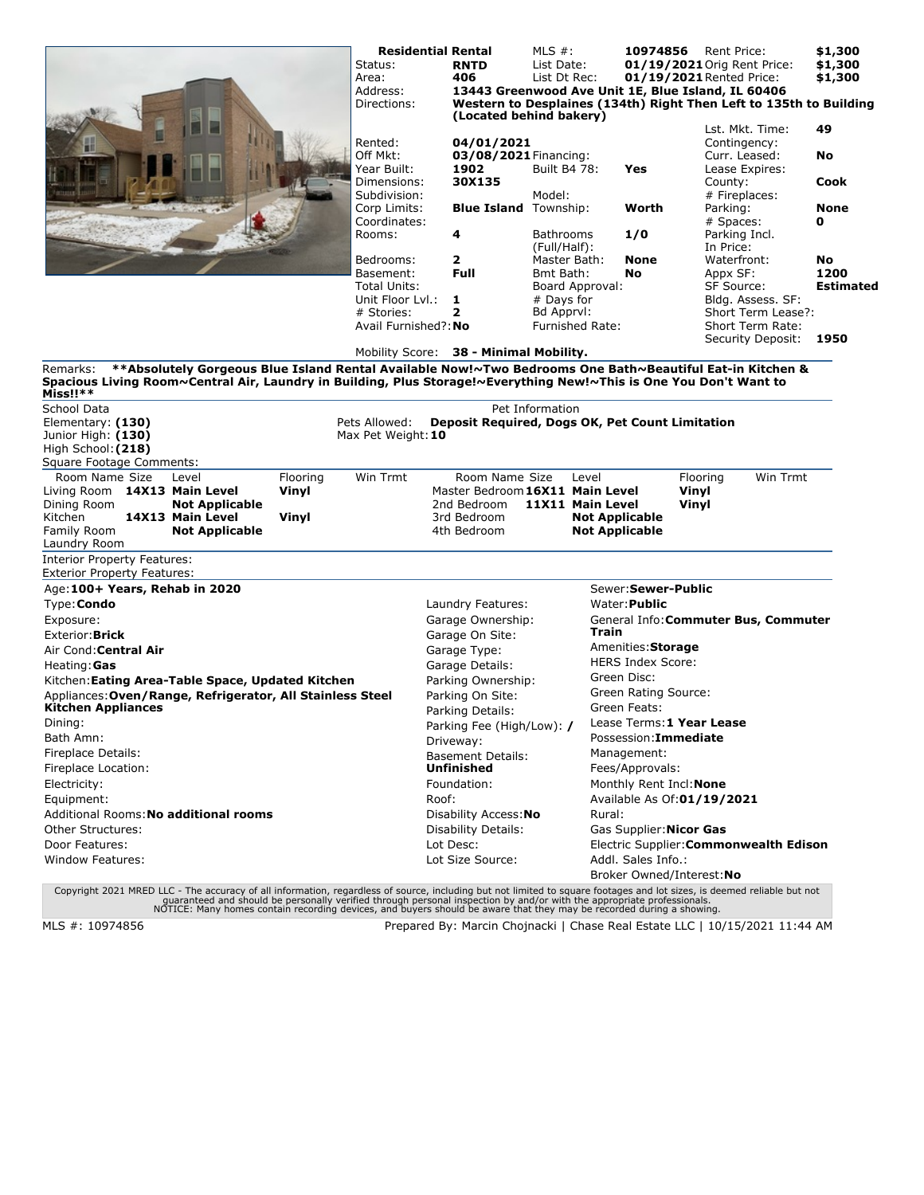|                                                                                                                                                                                                                                                                                                                         |                            | Status:<br>Area:<br>Address:<br>Directions:                              |       | <b>Residential Rental</b><br><b>RNTD</b><br>406<br>13443 Greenwood Ave Unit 1E, Blue Island, IL 60406<br>Western to Desplaines (134th) Right Then Left to 135th to Building<br>(Located behind bakery)                                          | MLS $#$ :<br>List Date:<br>List Dt Rec:                               |                                                                             | 10974856                                                                                                                                                                                    | Rent Price:<br>01/19/2021 Orig Rent Price:<br>01/19/2021 Rented Price: |                                                                                     | \$1,300<br>\$1,300<br>\$1,300  |
|-------------------------------------------------------------------------------------------------------------------------------------------------------------------------------------------------------------------------------------------------------------------------------------------------------------------------|----------------------------|--------------------------------------------------------------------------|-------|-------------------------------------------------------------------------------------------------------------------------------------------------------------------------------------------------------------------------------------------------|-----------------------------------------------------------------------|-----------------------------------------------------------------------------|---------------------------------------------------------------------------------------------------------------------------------------------------------------------------------------------|------------------------------------------------------------------------|-------------------------------------------------------------------------------------|--------------------------------|
|                                                                                                                                                                                                                                                                                                                         |                            | Rented:<br>Off Mkt:<br>Year Built:<br>Dimensions:<br>Subdivision:        |       | 04/01/2021<br>03/08/2021 Financing:<br>1902<br>30X135                                                                                                                                                                                           | Built B4 78:<br>Model:                                                |                                                                             | Yes                                                                                                                                                                                         | County:                                                                | Lst. Mkt. Time:<br>Contingency:<br>Curr. Leased:<br>Lease Expires:<br># Fireplaces: | 49<br>No<br><b>Cook</b>        |
|                                                                                                                                                                                                                                                                                                                         |                            | Corp Limits:<br>Coordinates:<br>Rooms:                                   |       | <b>Blue Island</b> Township:<br>4                                                                                                                                                                                                               | Bathrooms                                                             |                                                                             | Worth<br>1/0                                                                                                                                                                                | Parking:<br># Spaces:<br>Parking Incl.                                 |                                                                                     | <b>None</b><br>0               |
|                                                                                                                                                                                                                                                                                                                         |                            | Bedrooms:<br>Basement:<br>Total Units:<br>Unit Floor Lyl.:<br># Stories: |       | 2<br><b>Full</b><br>1<br>2                                                                                                                                                                                                                      | (Full/Half):<br>Master Bath:<br>Bmt Bath:<br># Days for<br>Bd Apprvl: | Board Approval:                                                             | None<br>No                                                                                                                                                                                  | In Price:<br>Waterfront:<br>Appx SF:<br>SF Source:                     | Bldg. Assess. SF:<br>Short Term Lease?:                                             | No<br>1200<br><b>Estimated</b> |
|                                                                                                                                                                                                                                                                                                                         |                            | Avail Furnished?: No                                                     |       | Mobility Score: 38 - Minimal Mobility.                                                                                                                                                                                                          |                                                                       | <b>Furnished Rate:</b>                                                      |                                                                                                                                                                                             |                                                                        | Short Term Rate:<br>Security Deposit:                                               | 1950                           |
| **Absolutely Gorgeous Blue Island Rental Available Now!~Two Bedrooms One Bath~Beautiful Eat-in Kitchen &<br>Remarks:<br>Spacious Living Room~Central Air, Laundry in Building, Plus Storage!~Everything New!~This is One You Don't Want to<br>Miss!!**                                                                  |                            |                                                                          |       |                                                                                                                                                                                                                                                 |                                                                       |                                                                             |                                                                                                                                                                                             |                                                                        |                                                                                     |                                |
| School Data<br>Elementary: (130)<br>Junior High: (130)<br>High School: (218)<br>Square Footage Comments:                                                                                                                                                                                                                |                            | Pets Allowed:<br>Max Pet Weight: 10                                      |       | Deposit Required, Dogs OK, Pet Count Limitation                                                                                                                                                                                                 | Pet Information                                                       |                                                                             |                                                                                                                                                                                             |                                                                        |                                                                                     |                                |
| Room Name Size<br>Level<br>Living Room 14X13 Main Level<br>Dining Room<br><b>Not Applicable</b><br>Kitchen<br>14X13 Main Level<br>Family Room<br><b>Not Applicable</b><br>Laundry Room                                                                                                                                  | Flooring<br>Vinyl<br>Vinyl | Win Trmt                                                                 |       | Room Name Size<br>Master Bedroom 16X11 Main Level<br>2nd Bedroom<br>3rd Bedroom<br>4th Bedroom                                                                                                                                                  |                                                                       | Level<br>11X11 Main Level<br><b>Not Applicable</b><br><b>Not Applicable</b> |                                                                                                                                                                                             | Flooring<br>Vinyl<br>Vinyl                                             | Win Trmt                                                                            |                                |
| <b>Interior Property Features:</b><br>Exterior Property Features:                                                                                                                                                                                                                                                       |                            |                                                                          |       |                                                                                                                                                                                                                                                 |                                                                       |                                                                             |                                                                                                                                                                                             |                                                                        |                                                                                     |                                |
| Age: 100+ Years, Rehab in 2020<br>Type: Condo                                                                                                                                                                                                                                                                           |                            |                                                                          |       | Laundry Features:                                                                                                                                                                                                                               |                                                                       |                                                                             | Sewer: Sewer-Public<br>Water: <b>Public</b>                                                                                                                                                 |                                                                        |                                                                                     |                                |
| Exposure:<br>Exterior: <b>Brick</b><br>Air Cond: Central Air<br>Heating: Gas<br>Kitchen: Eating Area-Table Space, Updated Kitchen<br>Appliances: Oven/Range, Refrigerator, All Stainless Steel<br>Kitchen Appliances<br>Dining:<br>Bath Amn:<br>Fireplace Details:<br>Fireplace Location:<br>Electricity:<br>Equipment: |                            |                                                                          | Roof: | Garage Ownership:<br>Garage On Site:<br>Garage Type:<br>Garage Details:<br>Parking Ownership:<br>Parking On Site:<br>Parking Details:<br>Parking Fee (High/Low): /<br>Driveway:<br><b>Basement Details:</b><br><b>Unfinished</b><br>Foundation: |                                                                       | Train                                                                       | Amenities: Storage<br><b>HERS Index Score:</b><br>Green Disc:<br>Green Rating Source:<br>Green Feats:<br>Possession: Immediate<br>Management:<br>Fees/Approvals:<br>Monthly Rent Incl: None | Lease Terms: 1 Year Lease<br>Available As Of:01/19/2021                | General Info: Commuter Bus, Commuter                                                |                                |
| Additional Rooms: No additional rooms<br><b>Other Structures:</b><br>Door Features:<br>Window Features:                                                                                                                                                                                                                 |                            |                                                                          |       | Disability Access: No<br><b>Disability Details:</b><br>Lot Desc:<br>Lot Size Source:                                                                                                                                                            |                                                                       | Rural:                                                                      | Gas Supplier: Nicor Gas<br>Addl. Sales Info.:                                                                                                                                               | Broker Owned/Interest: No                                              | Electric Supplier: Commonwealth Edison                                              |                                |

Copyright 2021 MRED LLC - The accuracy of all information, regardless of source, including but not limited to square footages and lot sizes, is deemed reliable but not<br>guaranteed and should be personally verified through p

MLS #: 10974856 Prepared By: Marcin Chojnacki | Chase Real Estate LLC | 10/15/2021 11:44 AM